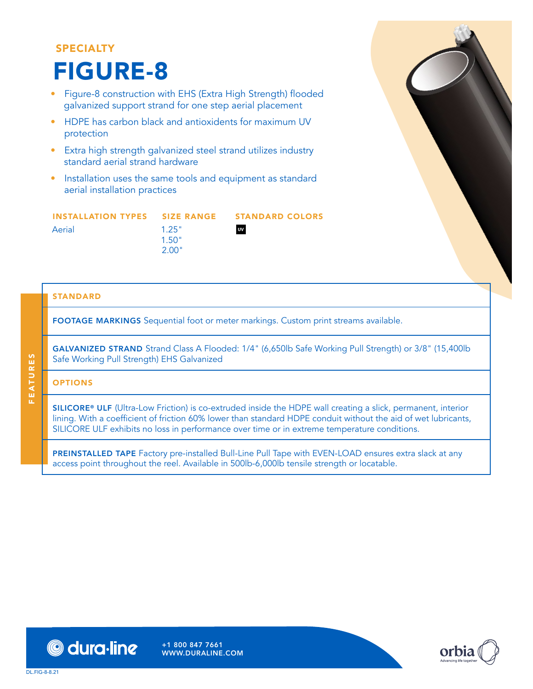## SPECIALTY FIGURE-8

- Figure-8 construction with EHS (Extra High Strength) flooded galvanized support strand for one step aerial placement
- HDPE has carbon black and antioxidents for maximum UV protection
- Extra high strength galvanized steel strand utilizes industry standard aerial strand hardware
- Installation uses the same tools and equipment as standard aerial installation practices

| INSTALLATION TYPES    SIZE    RANGE    STANDARD COLORS |       |               |
|--------------------------------------------------------|-------|---------------|
| Aerial                                                 | 1.25" | $\mathsf{uv}$ |
|                                                        | 1.50" |               |
|                                                        | 2.00" |               |

STANDARD

FOOTAGE MARKINGS Sequential foot or meter markings. Custom print streams available.

GALVANIZED STRAND Strand Class A Flooded: 1/4" (6,650lb Safe Working Pull Strength) or 3/8" (15,400lb Safe Working Pull Strength) EHS Galvanized

### **OPTIONS**

FEATURES

**FEATURES** 

SILICORE® ULF (Ultra-Low Friction) is co-extruded inside the HDPE wall creating a slick, permanent, interior lining. With a coefficient of friction 60% lower than standard HDPE conduit without the aid of wet lubricants, SILICORE ULF exhibits no loss in performance over time or in extreme temperature conditions.

PREINSTALLED TAPE Factory pre-installed Bull-Line Pull Tape with EVEN-LOAD ensures extra slack at any access point throughout the reel. Available in 500lb-6,000lb tensile strength or locatable.



DL.FIG-8-8.21

+1 800 847 7661 WWW.DURALINE.COM